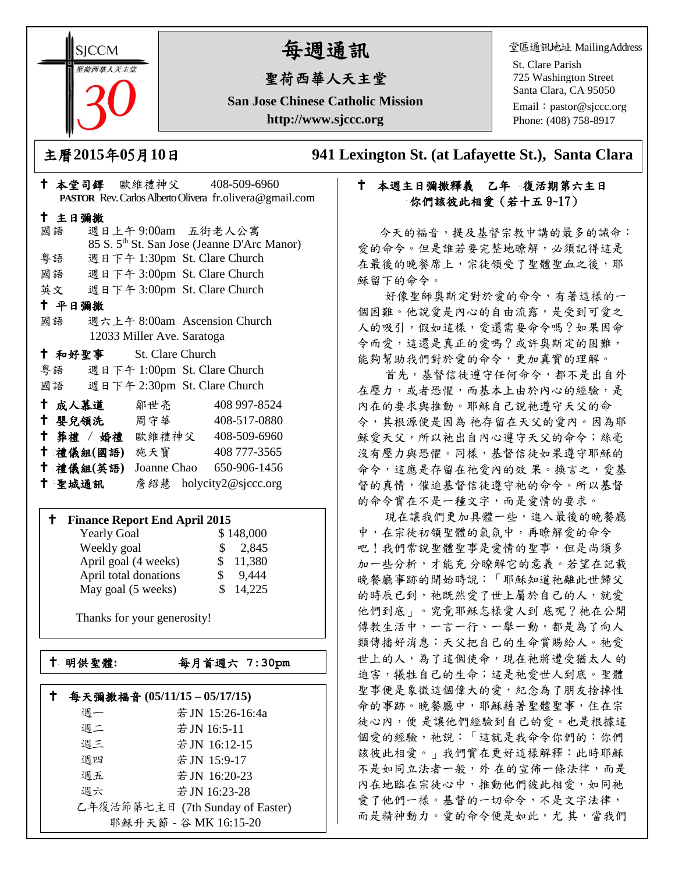**SICCM** 猫西華人天主

# 每週通訊

# 聖荷西華人天主堂

**San Jose Chinese Catholic Mission http://www.sjccc.org**

堂區通訊地址 MailingAddress

St. Clare Parish 725 Washington Street Santa Clara, CA 95050

Email: [pastor@sjccc.org](mailto:pastor@sjccc.org) Phone: (408) 758-8917

主曆**2015**年**0**5月**10**日 **941 Lexington St. (at Lafayette St.), Santa Clara** 

# 本週主日彌撒釋義乙年復活期第六主日 你們該彼此相愛(若十五 9~17)

 今天的福音,提及基督宗教中講的最多的誡命: 愛的命令。但是誰若要完整地瞭解,必須記得這是 在最後的晚餐席上,宗徒領受了聖體聖血之後,耶 穌留下的命令。

 好像聖師奧斯定對於愛的命令,有著這樣的一 個困難。他說愛是內心的自由流露,是受到可愛之 人的吸引,假如這樣,愛還需要命令嗎?如果因命 令而愛,這還是真正的愛嗎?或許奧斯定的困難, 能夠幫助我們對於愛的命令,更加真實的理解。

 首先,基督信徒遵守任何命令,都不是出自外 在壓力,或者恐懼,而基本上由於內心的經驗,是 內在的要求與推動。耶穌自己說祂遵守天父的命 令,其根源便是因為 祂存留在天父的愛內。因為耶 穌愛天父,所以祂出自內心遵守天父的命令;絲毫 沒有壓力與恐懼。同樣,基督信徒如果遵守耶穌的 命令,這應是存留在祂愛內的效 果。換言之,愛基 督的真情,催迫基督信徒遵守祂的命令。所以基督 的命令實在不是一種文字,而是愛情的要求。

 現在讓我們更加具體一些,進入最後的晚餐廳 中,在宗徒初領聖體的氣氛中,再瞭解愛的命令 吧!我們常說聖體聖事是愛情的聖事,但是尚須多 加一些分析,才能充 分瞭解它的意義。若望在記載 晚餐廳事跡的開始時說:「耶穌知道祂離此世歸父 的時辰已到,祂既然愛了世上屬於自己的人,就愛 他們到底」。究竟耶穌怎樣愛人到 底呢?祂在公開 傳教生活中,一言一行、一舉一動,都是為了向人 類傳播好消息:天父把自己的生命賞賜給人。祂愛 世上的人,為了這個使命,現在祂將遭受猶太人 的 迫害,犧牲自己的生命;這是祂愛世人到底。聖體 聖事便是象徵這個偉大的愛,紀念為了朋友捨掉性 命的事跡。晚餐廳中,耶穌藉著聖體聖事,住在宗 徒心內,便是讓他們經驗到自己的愛。也是根據這 個愛的經驗,祂說:「這就是我命令你們的:你們 該彼此相愛。」我們實在更好這樣解釋:此時耶穌 不是如同立法者一般,外 在的宣佈一條法律,而是 內在地臨在宗徒心中,推動他們彼此相愛,如同祂 愛了他們一樣。基督的一切命令,不是文字法律, 而是精神動力。愛的命令便是如此,尤其,當我們

| 十 主日彌撒                             |  |                              |  |              |                                                         |
|------------------------------------|--|------------------------------|--|--------------|---------------------------------------------------------|
| 國語                                 |  | 週日上午9:00am 五街老人公寓            |  |              |                                                         |
|                                    |  |                              |  |              | 85 S. 5 <sup>th</sup> St. San Jose (Jeanne D'Arc Manor) |
| 粤語                                 |  | 週日下午 1:30pm St. Clare Church |  |              |                                                         |
| 國語 週日下午 3:00pm St. Clare Church    |  |                              |  |              |                                                         |
| 英文 週日下午 3:00pm St. Clare Church    |  |                              |  |              |                                                         |
| 十 平日彌撒                             |  |                              |  |              |                                                         |
| 國語                                 |  | 週六上午 8:00am Ascension Church |  |              |                                                         |
|                                    |  | 12033 Miller Ave. Saratoga   |  |              |                                                         |
| <sup>†</sup> 和好聖事 St. Clare Church |  |                              |  |              |                                                         |
| 粤語 週日下午 1:00pm St. Clare Church    |  |                              |  |              |                                                         |
| 國語 週日下午 2:30pm St. Clare Church    |  |                              |  |              |                                                         |
| 十 成人慕道                             |  | 鄒世亮                          |  | 408 997-8524 |                                                         |
| 十 嬰兒領洗 周守華                         |  |                              |  | 408-517-0880 |                                                         |
| † 葬禮 / 婚禮 歐維禮神父 408-509-6960       |  |                              |  |              |                                                         |
| 十 禮儀組(國語) 施天寶                      |  |                              |  | 408 777-3565 |                                                         |
| 十 禮儀組(英語)                          |  | Joanne Chao 650-906-1456     |  |              |                                                         |
| 十 聖城通訊                             |  | 詹紹慧 holycity2@sjccc.org      |  |              |                                                         |

本堂司鐸 歐維禮神父 408-509-6960

**PASTOR** Rev. Carlos Alberto Olivera fr.olivera@gmail.com

#### **Finance Report End April 2015**

| <b>Yearly Goal</b>    | \$148,000    |
|-----------------------|--------------|
| Weekly goal           | \$2,845      |
| April goal (4 weeks)  | 11,380<br>S. |
| April total donations | 9.444        |
| May goal (5 weeks)    | 14,225<br>S. |

Thanks for your generosity!

└<br>├

 $\mathbb{R}^n$ 

明供聖體**:**每月首週六 **7:30pm**

# 每天彌撒福音 **(05/11/15 – 05/17/15)** 週一 若JN 15:26-16:4a 週二 若JN 16:5-11 週三 若JN 16:12-15 週四 若JN 15:9-17 週五 若JN 16:20-23

週六 若JN 16:23-28 乙年復活節第七主日 (7th Sunday of Easter) 耶穌升天節 - 谷 MK 16:15-20